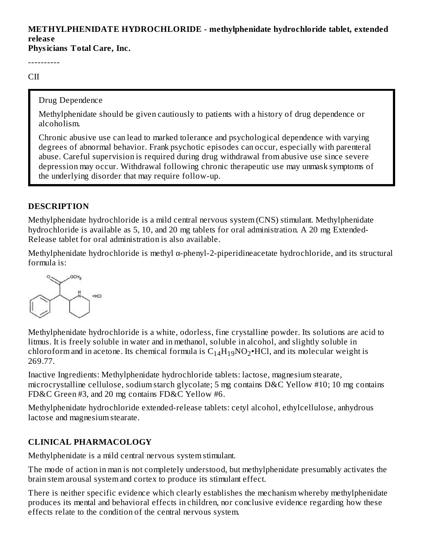# **METHYLPHENIDATE HYDROCHLORIDE - methylphenidate hydrochloride tablet, extended releas e**

**Physicians Total Care, Inc.**

----------

CII

Drug Dependence

Methylphenidate should be given cautiously to patients with a history of drug dependence or alcoholism.

Chronic abusive use can lead to marked tolerance and psychological dependence with varying degrees of abnormal behavior. Frank psychotic episodes can occur, especially with parenteral abuse. Careful supervision is required during drug withdrawal from abusive use since severe depression may occur. Withdrawal following chronic therapeutic use may unmask symptoms of the underlying disorder that may require follow-up.

# **DESCRIPTION**

Methylphenidate hydrochloride is a mild central nervous system (CNS) stimulant. Methylphenidate hydrochloride is available as 5, 10, and 20 mg tablets for oral administration. A 20 mg Extended-Release tablet for oral administration is also available.

Methylphenidate hydrochloride is methyl α-phenyl-2-piperidineacetate hydrochloride, and its structural formula is:



Methylphenidate hydrochloride is a white, odorless, fine crystalline powder. Its solutions are acid to litmus. It is freely soluble in water and in methanol, soluble in alcohol, and slightly soluble in chloroform and in acetone. Its chemical formula is  $\rm C_{14}H_{19}NO_2\bullet HCl,$  and its molecular weight is 269.77.

Inactive Ingredients: Methylphenidate hydrochloride tablets: lactose, magnesium stearate, microcrystalline cellulose, sodium starch glycolate; 5 mg contains D&C Yellow #10; 10 mg contains FD&C Green #3, and 20 mg contains FD&C Yellow #6.

Methylphenidate hydrochloride extended-release tablets: cetyl alcohol, ethylcellulose, anhydrous lactose and magnesium stearate.

# **CLINICAL PHARMACOLOGY**

Methylphenidate is a mild central nervous system stimulant.

The mode of action in man is not completely understood, but methylphenidate presumably activates the brain stem arousal system and cortex to produce its stimulant effect.

There is neither specific evidence which clearly establishes the mechanism whereby methylphenidate produces its mental and behavioral effects in children, nor conclusive evidence regarding how these effects relate to the condition of the central nervous system.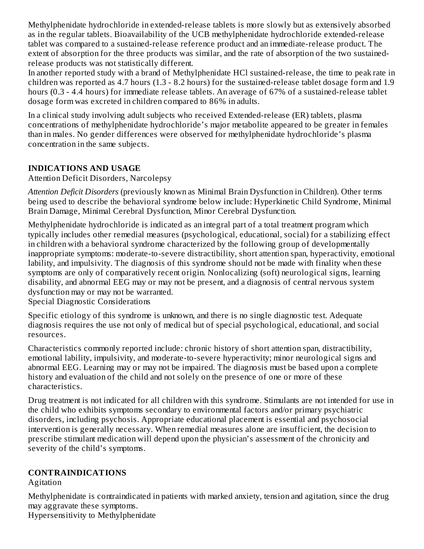Methylphenidate hydrochloride in extended-release tablets is more slowly but as extensively absorbed as in the regular tablets. Bioavailability of the UCB methylphenidate hydrochloride extended-release tablet was compared to a sustained-release reference product and an immediate-release product. The extent of absorption for the three products was similar, and the rate of absorption of the two sustainedrelease products was not statistically different.

In another reported study with a brand of Methylphenidate HCl sustained-release, the time to peak rate in children was reported as 4.7 hours (1.3 - 8.2 hours) for the sustained-release tablet dosage form and 1.9 hours (0.3 - 4.4 hours) for immediate release tablets. An average of 67% of a sustained-release tablet dosage form was excreted in children compared to 86% in adults.

In a clinical study involving adult subjects who received Extended-release (ER) tablets, plasma concentrations of methylphenidate hydrochloride's major metabolite appeared to be greater in females than in males. No gender differences were observed for methylphenidate hydrochloride's plasma concentration in the same subjects.

# **INDICATIONS AND USAGE**

## Attention Deficit Disorders, Narcolepsy

*Attention Deficit Disorders* (previously known as Minimal Brain Dysfunction in Children). Other terms being used to describe the behavioral syndrome below include: Hyperkinetic Child Syndrome, Minimal Brain Damage, Minimal Cerebral Dysfunction, Minor Cerebral Dysfunction.

Methylphenidate hydrochloride is indicated as an integral part of a total treatment program which typically includes other remedial measures (psychological, educational, social) for a stabilizing effect in children with a behavioral syndrome characterized by the following group of developmentally inappropriate symptoms: moderate-to-severe distractibility, short attention span, hyperactivity, emotional lability, and impulsivity. The diagnosis of this syndrome should not be made with finality when these symptoms are only of comparatively recent origin. Nonlocalizing (soft) neurological signs, learning disability, and abnormal EEG may or may not be present, and a diagnosis of central nervous system dysfunction may or may not be warranted.

Special Diagnostic Considerations

Specific etiology of this syndrome is unknown, and there is no single diagnostic test. Adequate diagnosis requires the use not only of medical but of special psychological, educational, and social resources.

Characteristics commonly reported include: chronic history of short attention span, distractibility, emotional lability, impulsivity, and moderate-to-severe hyperactivity; minor neurological signs and abnormal EEG. Learning may or may not be impaired. The diagnosis must be based upon a complete history and evaluation of the child and not solely on the presence of one or more of these characteristics.

Drug treatment is not indicated for all children with this syndrome. Stimulants are not intended for use in the child who exhibits symptoms secondary to environmental factors and/or primary psychiatric disorders, including psychosis. Appropriate educational placement is essential and psychosocial intervention is generally necessary. When remedial measures alone are insufficient, the decision to prescribe stimulant medication will depend upon the physician's assessment of the chronicity and severity of the child's symptoms.

# **CONTRAINDICATIONS**

### Agitation

Methylphenidate is contraindicated in patients with marked anxiety, tension and agitation, since the drug may aggravate these symptoms.

Hypersensitivity to Methylphenidate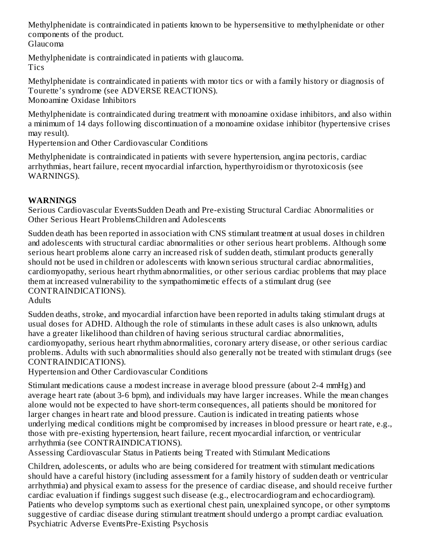Methylphenidate is contraindicated in patients known to be hypersensitive to methylphenidate or other components of the product. Glaucoma

Methylphenidate is contraindicated in patients with glaucoma. **Tics** 

Methylphenidate is contraindicated in patients with motor tics or with a family history or diagnosis of Tourette's syndrome (see ADVERSE REACTIONS). Monoamine Oxidase Inhibitors

Methylphenidate is contraindicated during treatment with monoamine oxidase inhibitors, and also within a minimum of 14 days following discontinuation of a monoamine oxidase inhibitor (hypertensive crises may result).

Hypertension and Other Cardiovascular Conditions

Methylphenidate is contraindicated in patients with severe hypertension, angina pectoris, cardiac arrhythmias, heart failure, recent myocardial infarction, hyperthyroidism or thyrotoxicosis (see WARNINGS).

# **WARNINGS**

Serious Cardiovascular EventsSudden Death and Pre-existing Structural Cardiac Abnormalities or Other Serious Heart ProblemsChildren and Adolescents

Sudden death has been reported in association with CNS stimulant treatment at usual doses in children and adolescents with structural cardiac abnormalities or other serious heart problems. Although some serious heart problems alone carry an increased risk of sudden death, stimulant products generally should not be used in children or adolescents with known serious structural cardiac abnormalities, cardiomyopathy, serious heart rhythm abnormalities, or other serious cardiac problems that may place them at increased vulnerability to the sympathomimetic effects of a stimulant drug (see CONTRAINDICATIONS).

Adults

Sudden deaths, stroke, and myocardial infarction have been reported in adults taking stimulant drugs at usual doses for ADHD. Although the role of stimulants in these adult cases is also unknown, adults have a greater likelihood than children of having serious structural cardiac abnormalities, cardiomyopathy, serious heart rhythm abnormalities, coronary artery disease, or other serious cardiac problems. Adults with such abnormalities should also generally not be treated with stimulant drugs (see CONTRAINDICATIONS).

Hypertension and Other Cardiovascular Conditions

Stimulant medications cause a modest increase in average blood pressure (about 2-4 mmHg) and average heart rate (about 3-6 bpm), and individuals may have larger increases. While the mean changes alone would not be expected to have short-term consequences, all patients should be monitored for larger changes in heart rate and blood pressure. Caution is indicated in treating patients whose underlying medical conditions might be compromised by increases in blood pressure or heart rate, e.g., those with pre-existing hypertension, heart failure, recent myocardial infarction, or ventricular arrhythmia (see CONTRAINDICATIONS).

Assessing Cardiovascular Status in Patients being Treated with Stimulant Medications

Children, adolescents, or adults who are being considered for treatment with stimulant medications should have a careful history (including assessment for a family history of sudden death or ventricular arrhythmia) and physical exam to assess for the presence of cardiac disease, and should receive further cardiac evaluation if findings suggest such disease (e.g., electrocardiogram and echocardiogram). Patients who develop symptoms such as exertional chest pain, unexplained syncope, or other symptoms suggestive of cardiac disease during stimulant treatment should undergo a prompt cardiac evaluation. Psychiatric Adverse EventsPre-Existing Psychosis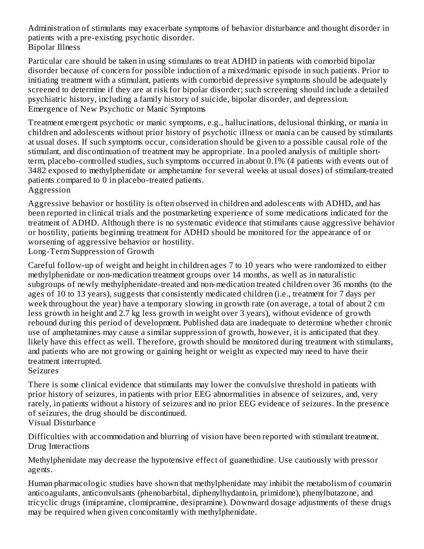Administration of stimulants may exacerbate symptoms of behavior disturbance and thought disorder in patients with a pre-existing psychotic disorder. Bipolar Illness

Particular care should be taken in using stimulants to treat ADHD in patients with comorbid bipolar disorder because of concern for possible induction of a mixed/manic episode in such patients. Prior to initiating treatment with a stimulant, patients with comorbid depressive symptoms should be adequately screened to determine if they are at risk for bipolar disorder; such screening should include a detailed psychiatric history, including a family history of suicide, bipolar disorder, and depression. Emergence of New Psychotic or Manic Symptoms

Treatment emergent psychotic or manic symptoms, e.g., hallucinations, delusional thinking, or mania in children and adolescents without prior history of psychotic illness or mania can be caused by stimulants at usual doses. If such symptoms occur, consideration should be given to a possible causal role of the stimulant, and discontinuation of treatment may be appropriate. In a pooled analysis of multiple shortterm, placebo-controlled studies, such symptoms occurred in about 0.1% (4 patients with events out of 3482 exposed to methylphenidate or amphetamine for several weeks at usual doses) of stimulant-treated patients compared to 0 in placebo-treated patients. Aggression

Aggressive behavior or hostility is often observed in children and adolescents with ADHD, and has been reported in clinical trials and the postmarketing experience of some medications indicated for the treatment of ADHD. Although there is no systematic evidence that stimulants cause aggressive behavior or hostility, patients beginning treatment for ADHD should be monitored for the appearance of or worsening of aggressive behavior or hostility.

Long-Term Suppression of Growth

Careful follow-up of weight and height in children ages 7 to 10 years who were randomized to either methylphenidate or non-medication treatment groups over 14 months, as well as in naturalistic subgroups of newly methylphenidate-treated and non-medication treated children over 36 months (to the ages of 10 to 13 years), suggests that consistently medicated children (i.e., treatment for 7 days per week throughout the year) have a temporary slowing in growth rate (on average, a total of about 2 cm less growth in height and 2.7 kg less growth in weight over 3 years), without evidence of growth rebound during this period of development. Published data are inadequate to determine whether chronic use of amphetamines may cause a similar suppression of growth, however, it is anticipated that they likely have this effect as well. Therefore, growth should be monitored during treatment with stimulants, and patients who are not growing or gaining height or weight as expected may need to have their treatment interrupted.

Seizures

There is some clinical evidence that stimulants may lower the convulsive threshold in patients with prior history of seizures, in patients with prior EEG abnormalities in absence of seizures, and, very rarely, in patients without a history of seizures and no prior EEG evidence of seizures. In the presence of seizures, the drug should be discontinued. Visual Disturbance

Difficulties with accommodation and blurring of vision have been reported with stimulant treatment. Drug Interactions

Methylphenidate may decrease the hypotensive effect of guanethidine. Use cautiously with pressor agents.

Human pharmacologic studies have shown that methylphenidate may inhibit the metabolism of coumarin anticoagulants, anticonvulsants (phenobarbital, diphenylhydantoin, primidone), phenylbutazone, and tricyclic drugs (imipramine, clomipramine, desipramine). Downward dosage adjustments of these drugs may be required when given concomitantly with methylphenidate.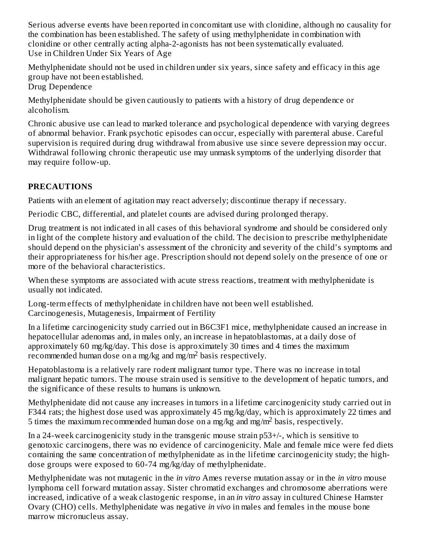Serious adverse events have been reported in concomitant use with clonidine, although no causality for the combination has been established. The safety of using methylphenidate in combination with clonidine or other centrally acting alpha-2-agonists has not been systematically evaluated. Use in Children Under Six Years of Age

Methylphenidate should not be used in children under six years, since safety and efficacy in this age group have not been established. Drug Dependence

Methylphenidate should be given cautiously to patients with a history of drug dependence or alcoholism.

Chronic abusive use can lead to marked tolerance and psychological dependence with varying degrees of abnormal behavior. Frank psychotic episodes can occur, especially with parenteral abuse. Careful supervision is required during drug withdrawal from abusive use since severe depression may occur. Withdrawal following chronic therapeutic use may unmask symptoms of the underlying disorder that may require follow-up.

# **PRECAUTIONS**

Patients with an element of agitation may react adversely; discontinue therapy if necessary.

Periodic CBC, differential, and platelet counts are advised during prolonged therapy.

Drug treatment is not indicated in all cases of this behavioral syndrome and should be considered only in light of the complete history and evaluation of the child. The decision to prescribe methylphenidate should depend on the physician's assessment of the chronicity and severity of the child's symptoms and their appropriateness for his/her age. Prescription should not depend solely on the presence of one or more of the behavioral characteristics.

When these symptoms are associated with acute stress reactions, treatment with methylphenidate is usually not indicated.

Long-term effects of methylphenidate in children have not been well established. Carcinogenesis, Mutagenesis, Impairment of Fertility

In a lifetime carcinogenicity study carried out in B6C3F1 mice, methylphenidate caused an increase in hepatocellular adenomas and, in males only, an increase in hepatoblastomas, at a daily dose of approximately 60 mg/kg/day. This dose is approximately 30 times and 4 times the maximum recommended human dose on a mg/kg and mg/m<sup>2</sup> basis respectively.

Hepatoblastoma is a relatively rare rodent malignant tumor type. There was no increase in total malignant hepatic tumors. The mouse strain used is sensitive to the development of hepatic tumors, and the significance of these results to humans is unknown.

Methylphenidate did not cause any increases in tumors in a lifetime carcinogenicity study carried out in F344 rats; the highest dose used was approximately 45 mg/kg/day, which is approximately 22 times and 5 times the maximum recommended human dose on a mg/kg and mg/m<sup>2</sup> basis, respectively.

In a 24-week carcinogenicity study in the transgenic mouse strain p53+/-, which is sensitive to genotoxic carcinogens, there was no evidence of carcinogenicity. Male and female mice were fed diets containing the same concentration of methylphenidate as in the lifetime carcinogenicity study; the highdose groups were exposed to 60-74 mg/kg/day of methylphenidate.

Methylphenidate was not mutagenic in the *in vitro* Ames reverse mutation assay or in the *in vitro* mouse lymphoma cell forward mutation assay. Sister chromatid exchanges and chromosome aberrations were increased, indicative of a weak clastogenic response, in an *in vitro* assay in cultured Chinese Hamster Ovary (CHO) cells. Methylphenidate was negative *in vivo* in males and females in the mouse bone marrow micronucleus assay.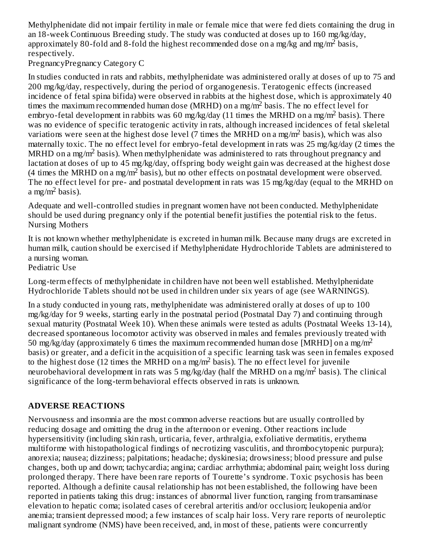Methylphenidate did not impair fertility in male or female mice that were fed diets containing the drug in an 18-week Continuous Breeding study. The study was conducted at doses up to 160 mg/kg/day, approximately 80-fold and 8-fold the highest recommended dose on a mg/kg and mg/m<sup>2</sup> basis, respectively.

PregnancyPregnancy Category C

In studies conducted in rats and rabbits, methylphenidate was administered orally at doses of up to 75 and 200 mg/kg/day, respectively, during the period of organogenesis. Teratogenic effects (increased incidence of fetal spina bifida) were observed in rabbits at the highest dose, which is approximately 40 times the maximum recommended human dose (MRHD) on a mg/m<sup>2</sup> basis. The no effect level for embryo-fetal development in rabbits was 60 mg/kg/day (11 times the MRHD on a mg/m<sup>2</sup> basis). There was no evidence of specific teratogenic activity in rats, although increased incidences of fetal skeletal variations were seen at the highest dose level (7 times the MRHD on a mg/m<sup>2</sup> basis), which was also maternally toxic. The no effect level for embryo-fetal development in rats was 25 mg/kg/day (2 times the MRHD on a mg/m<sup>2</sup> basis). When methylphenidate was administered to rats throughout pregnancy and lactation at doses of up to 45 mg/kg/day, offspring body weight gain was decreased at the highest dose (4 times the MRHD on a mg/m<sup>2</sup> basis), but no other effects on postnatal development were observed. The no effect level for pre- and postnatal development in rats was 15 mg/kg/day (equal to the MRHD on a mg/m<sup>2</sup> basis).

Adequate and well-controlled studies in pregnant women have not been conducted. Methylphenidate should be used during pregnancy only if the potential benefit justifies the potential risk to the fetus. Nursing Mothers

It is not known whether methylphenidate is excreted in human milk. Because many drugs are excreted in human milk, caution should be exercised if Methylphenidate Hydrochloride Tablets are administered to a nursing woman.

Pediatric Use

Long-term effects of methylphenidate in children have not been well established. Methylphenidate Hydrochloride Tablets should not be used in children under six years of age (see WARNINGS).

In a study conducted in young rats, methylphenidate was administered orally at doses of up to 100 mg/kg/day for 9 weeks, starting early in the postnatal period (Postnatal Day 7) and continuing through sexual maturity (Postnatal Week 10). When these animals were tested as adults (Postnatal Weeks 13-14), decreased spontaneous locomotor activity was observed in males and females previously treated with 50 mg/kg/day (approximately 6 times the maximum recommended human dose [MRHD] on a mg/m<sup>2</sup> basis) or greater, and a deficit in the acquisition of a specific learning task was seen in females exposed to the highest dose (12 times the MRHD on a mg/m<sup>2</sup> basis). The no effect level for juvenile neurobehavioral development in rats was 5 mg/kg/day (half the MRHD on a mg/m<sup>2</sup> basis). The clinical significance of the long-term behavioral effects observed in rats is unknown.

# **ADVERSE REACTIONS**

Nervousness and insomnia are the most common adverse reactions but are usually controlled by reducing dosage and omitting the drug in the afternoon or evening. Other reactions include hypersensitivity (including skin rash, urticaria, fever, arthralgia, exfoliative dermatitis, erythema multiforme with histopathological findings of necrotizing vasculitis, and thrombocytopenic purpura); anorexia; nausea; dizziness; palpitations; headache; dyskinesia; drowsiness; blood pressure and pulse changes, both up and down; tachycardia; angina; cardiac arrhythmia; abdominal pain; weight loss during prolonged therapy. There have been rare reports of Tourette's syndrome. Toxic psychosis has been reported. Although a definite causal relationship has not been established, the following have been reported in patients taking this drug: instances of abnormal liver function, ranging from transaminase elevation to hepatic coma; isolated cases of cerebral arteritis and/or occlusion; leukopenia and/or anemia; transient depressed mood; a few instances of scalp hair loss. Very rare reports of neuroleptic malignant syndrome (NMS) have been received, and, in most of these, patients were concurrently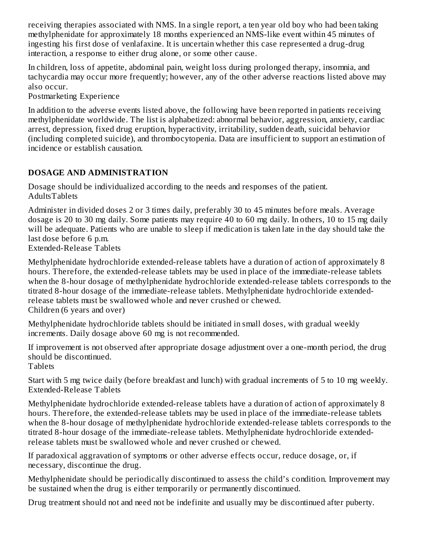receiving therapies associated with NMS. In a single report, a ten year old boy who had been taking methylphenidate for approximately 18 months experienced an NMS-like event within 45 minutes of ingesting his first dose of venlafaxine. It is uncertain whether this case represented a drug-drug interaction, a response to either drug alone, or some other cause.

In children, loss of appetite, abdominal pain, weight loss during prolonged therapy, insomnia, and tachycardia may occur more frequently; however, any of the other adverse reactions listed above may also occur.

Postmarketing Experience

In addition to the adverse events listed above, the following have been reported in patients receiving methylphenidate worldwide. The list is alphabetized: abnormal behavior, aggression, anxiety, cardiac arrest, depression, fixed drug eruption, hyperactivity, irritability, sudden death, suicidal behavior (including completed suicide), and thrombocytopenia. Data are insufficient to support an estimation of incidence or establish causation.

# **DOSAGE AND ADMINISTRATION**

Dosage should be individualized according to the needs and responses of the patient. AdultsTablets

Administer in divided doses 2 or 3 times daily, preferably 30 to 45 minutes before meals. Average dosage is 20 to 30 mg daily. Some patients may require 40 to 60 mg daily. In others, 10 to 15 mg daily will be adequate. Patients who are unable to sleep if medication is taken late in the day should take the last dose before 6 p.m.

Extended-Release Tablets

Methylphenidate hydrochloride extended-release tablets have a duration of action of approximately 8 hours. Therefore, the extended-release tablets may be used in place of the immediate-release tablets when the 8-hour dosage of methylphenidate hydrochloride extended-release tablets corresponds to the titrated 8-hour dosage of the immediate-release tablets. Methylphenidate hydrochloride extendedrelease tablets must be swallowed whole and never crushed or chewed. Children (6 years and over)

Methylphenidate hydrochloride tablets should be initiated in small doses, with gradual weekly increments. Daily dosage above 60 mg is not recommended.

If improvement is not observed after appropriate dosage adjustment over a one-month period, the drug should be discontinued. **Tablets** 

Start with 5 mg twice daily (before breakfast and lunch) with gradual increments of 5 to 10 mg weekly. Extended-Release Tablets

Methylphenidate hydrochloride extended-release tablets have a duration of action of approximately 8 hours. Therefore, the extended-release tablets may be used in place of the immediate-release tablets when the 8-hour dosage of methylphenidate hydrochloride extended-release tablets corresponds to the titrated 8-hour dosage of the immediate-release tablets. Methylphenidate hydrochloride extendedrelease tablets must be swallowed whole and never crushed or chewed.

If paradoxical aggravation of symptoms or other adverse effects occur, reduce dosage, or, if necessary, discontinue the drug.

Methylphenidate should be periodically discontinued to assess the child's condition. Improvement may be sustained when the drug is either temporarily or permanently discontinued.

Drug treatment should not and need not be indefinite and usually may be discontinued after puberty.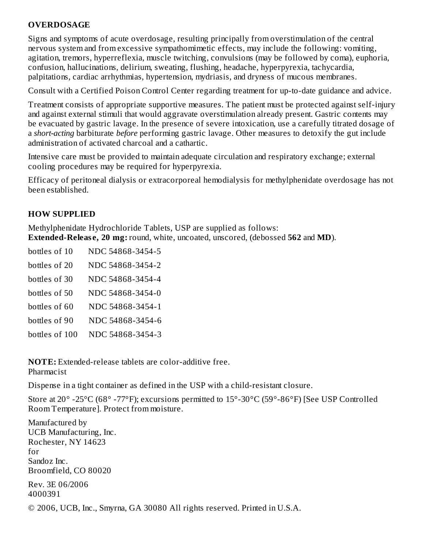## **OVERDOSAGE**

Signs and symptoms of acute overdosage, resulting principally from overstimulation of the central nervous system and from excessive sympathomimetic effects, may include the following: vomiting, agitation, tremors, hyperreflexia, muscle twitching, convulsions (may be followed by coma), euphoria, confusion, hallucinations, delirium, sweating, flushing, headache, hyperpyrexia, tachycardia, palpitations, cardiac arrhythmias, hypertension, mydriasis, and dryness of mucous membranes.

Consult with a Certified Poison Control Center regarding treatment for up-to-date guidance and advice.

Treatment consists of appropriate supportive measures. The patient must be protected against self-injury and against external stimuli that would aggravate overstimulation already present. Gastric contents may be evacuated by gastric lavage. In the presence of severe intoxication, use a carefully titrated dosage of a *short-acting* barbiturate *before* performing gastric lavage. Other measures to detoxify the gut include administration of activated charcoal and a cathartic.

Intensive care must be provided to maintain adequate circulation and respiratory exchange; external cooling procedures may be required for hyperpyrexia.

Efficacy of peritoneal dialysis or extracorporeal hemodialysis for methylphenidate overdosage has not been established.

#### **HOW SUPPLIED**

Methylphenidate Hydrochloride Tablets, USP are supplied as follows: **Extended-Releas e, 20 mg:** round, white, uncoated, unscored, (debossed **562** and **MD**).

bottles of 10 NDC 54868-3454-5

bottles of 20 NDC 54868-3454-2

bottles of 30 NDC 54868-3454-4

bottles of 50 NDC 54868-3454-0

bottles of 60 NDC 54868-3454-1

bottles of 90 NDC 54868-3454-6

bottles of 100 NDC 54868-3454-3

**NOTE:** Extended-release tablets are color-additive free.

Pharmacist

Dispense in a tight container as defined in the USP with a child-resistant closure.

Store at 20° -25°C (68° -77°F); excursions permitted to 15°-30°C (59°-86°F) [See USP Controlled Room Temperature]. Protect from moisture.

Manufactured by UCB Manufacturing, Inc. Rochester, NY 14623 for Sandoz Inc. Broomfield, CO 80020 Rev. 3E 06/2006 4000391

© 2006, UCB, Inc., Smyrna, GA 30080 All rights reserved. Printed in U.S.A.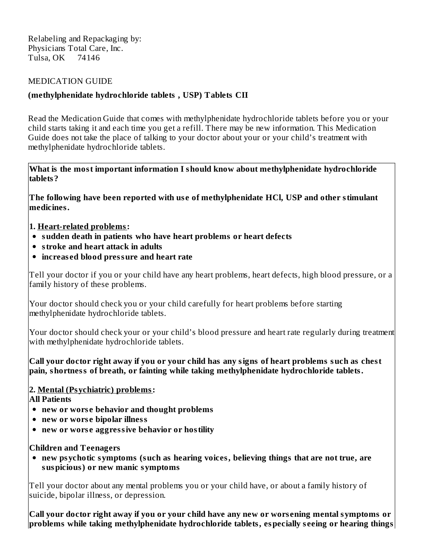Relabeling and Repackaging by: Physicians Total Care, Inc. Tulsa, OK 74146

#### MEDICATION GUIDE

### **(methylphenidate hydrochloride tablets , USP) Tablets CII**

Read the Medication Guide that comes with methylphenidate hydrochloride tablets before you or your child starts taking it and each time you get a refill. There may be new information. This Medication Guide does not take the place of talking to your doctor about your or your child's treatment with methylphenidate hydrochloride tablets.

**What is the most important information I should know about methylphenidate hydrochloride tablets?**

**The following have been reported with us e of methylphenidate HCl, USP and other stimulant medicines.**

- **1. Heart-related problems:**
- **sudden death in patients who have heart problems or heart defects**
- **stroke and heart attack in adults**
- **increas ed blood pressure and heart rate**

Tell your doctor if you or your child have any heart problems, heart defects, high blood pressure, or a family history of these problems.

Your doctor should check you or your child carefully for heart problems before starting methylphenidate hydrochloride tablets.

Your doctor should check your or your child's blood pressure and heart rate regularly during treatment with methylphenidate hydrochloride tablets.

Call your doctor right away if you or your child has any signs of heart problems such as chest **pain, shortness of breath, or fainting while taking methylphenidate hydrochloride tablets.**

### **2. Mental (Psychiatric) problems:**

**All Patients**

- **new or wors e behavior and thought problems**
- **new or wors e bipolar illness**
- **new or wors e aggressive behavior or hostility**

#### **Children and Teenagers**

**new psychotic symptoms (such as hearing voices, believing things that are not true, are suspicious) or new manic symptoms**

Tell your doctor about any mental problems you or your child have, or about a family history of suicide, bipolar illness, or depression.

Call your doctor right away if you or your child have any new or worsening mental symptoms or **problems while taking methylphenidate hydrochloride tablets, especially s eeing or hearing things**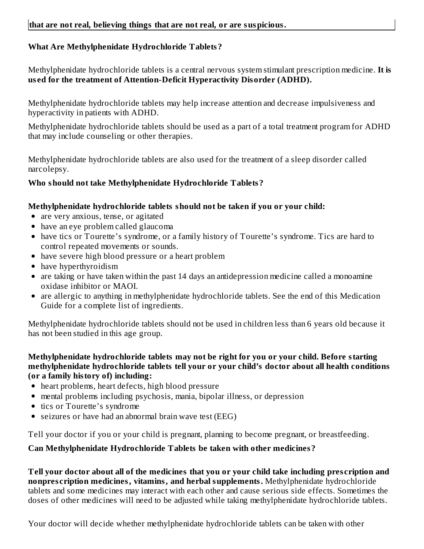## **What Are Methylphenidate Hydrochloride Tablets?**

Methylphenidate hydrochloride tablets is a central nervous system stimulant prescription medicine. **It is us ed for the treatment of Attention-Deficit Hyperactivity Disorder (ADHD).**

Methylphenidate hydrochloride tablets may help increase attention and decrease impulsiveness and hyperactivity in patients with ADHD.

Methylphenidate hydrochloride tablets should be used as a part of a total treatment program for ADHD that may include counseling or other therapies.

Methylphenidate hydrochloride tablets are also used for the treatment of a sleep disorder called narcolepsy.

## **Who should not take Methylphenidate Hydrochloride Tablets?**

## **Methylphenidate hydrochloride tablets should not be taken if you or your child:**

- are very anxious, tense, or agitated
- have an eye problem called glaucoma
- have tics or Tourette's syndrome, or a family history of Tourette's syndrome. Tics are hard to control repeated movements or sounds.
- have severe high blood pressure or a heart problem
- have hyperthyroidism
- are taking or have taken within the past 14 days an antidepression medicine called a monoamine oxidase inhibitor or MAOI.
- are allergic to anything in methylphenidate hydrochloride tablets. See the end of this Medication Guide for a complete list of ingredients.

Methylphenidate hydrochloride tablets should not be used in children less than 6 years old because it has not been studied in this age group.

#### **Methylphenidate hydrochloride tablets may not be right for you or your child. Before starting methylphenidate hydrochloride tablets tell your or your child's doctor about all health conditions (or a family history of) including:**

- heart problems, heart defects, high blood pressure
- mental problems including psychosis, mania, bipolar illness, or depression
- tics or Tourette's syndrome
- seizures or have had an abnormal brain wave test (EEG)

Tell your doctor if you or your child is pregnant, planning to become pregnant, or breastfeeding.

# **Can Methylphenidate Hydrochloride Tablets be taken with other medicines?**

Tell your doctor about all of the medicines that you or your child take including prescription and **nonpres cription medicines, vitamins, and herbal supplements.** Methylphenidate hydrochloride tablets and some medicines may interact with each other and cause serious side effects. Sometimes the doses of other medicines will need to be adjusted while taking methylphenidate hydrochloride tablets.

Your doctor will decide whether methylphenidate hydrochloride tablets can be taken with other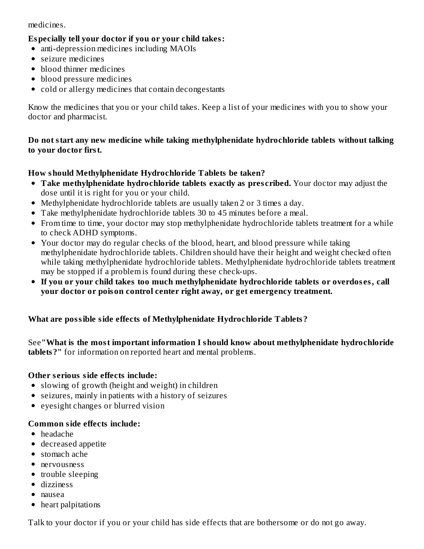medicines.

#### **Especially tell your doctor if you or your child takes:**

- anti-depression medicines including MAOIs
- seizure medicines
- blood thinner medicines
- blood pressure medicines
- cold or allergy medicines that contain decongestants

Know the medicines that you or your child takes. Keep a list of your medicines with you to show your doctor and pharmacist.

#### **Do not start any new medicine while taking methylphenidate hydrochloride tablets without talking to your doctor first.**

### **How should Methylphenidate Hydrochloride Tablets be taken?**

- **Take methylphenidate hydrochloride tablets exactly as pres cribed.** Your doctor may adjust the dose until it is right for you or your child.
- Methylphenidate hydrochloride tablets are usually taken 2 or 3 times a day.
- Take methylphenidate hydrochloride tablets 30 to 45 minutes before a meal.
- From time to time, your doctor may stop methylphenidate hydrochloride tablets treatment for a while to check ADHD symptoms.
- Your doctor may do regular checks of the blood, heart, and blood pressure while taking methylphenidate hydrochloride tablets. Children should have their height and weight checked often while taking methylphenidate hydrochloride tablets. Methylphenidate hydrochloride tablets treatment may be stopped if a problem is found during these check-ups.
- **If you or your child takes too much methylphenidate hydrochloride tablets or overdos es, call your doctor or poison control center right away, or get emergency treatment.**

#### **What are possible side effects of Methylphenidate Hydrochloride Tablets?**

See**"What is the most important information I should know about methylphenidate hydrochloride tablets?"** for information on reported heart and mental problems.

#### **Other s erious side effects include:**

- slowing of growth (height and weight) in children
- seizures, mainly in patients with a history of seizures
- eyesight changes or blurred vision

#### **Common side effects include:**

- headache
- decreased appetite
- stomach ache
- nervousness
- trouble sleeping
- dizziness
- nausea
- heart palpitations

Talk to your doctor if you or your child has side effects that are bothersome or do not go away.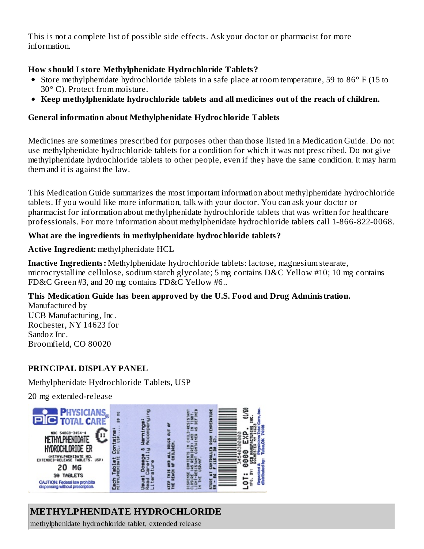This is not a complete list of possible side effects. Ask your doctor or pharmacist for more information.

## **How should I store Methylphenidate Hydrochloride Tablets?**

- Store methylphenidate hydrochloride tablets in a safe place at room temperature, 59 to 86° F (15 to 30° C). Protect from moisture.
- **Keep methylphenidate hydrochloride tablets and all medicines out of the reach of children.**

## **General information about Methylphenidate Hydrochloride Tablets**

Medicines are sometimes prescribed for purposes other than those listed in a Medication Guide. Do not use methylphenidate hydrochloride tablets for a condition for which it was not prescribed. Do not give methylphenidate hydrochloride tablets to other people, even if they have the same condition. It may harm them and it is against the law.

This Medication Guide summarizes the most important information about methylphenidate hydrochloride tablets. If you would like more information, talk with your doctor. You can ask your doctor or pharmacist for information about methylphenidate hydrochloride tablets that was written for healthcare professionals. For more information about methylphenidate hydrochloride tablets call 1-866-822-0068.

## **What are the ingredients in methylphenidate hydrochloride tablets?**

**Active Ingredient:** methylphenidate HCL

**Inactive Ingredients:** Methylphenidate hydrochloride tablets: lactose, magnesium stearate, microcrystalline cellulose, sodium starch glycolate; 5 mg contains D&C Yellow #10; 10 mg contains FD&C Green #3, and 20 mg contains FD&C Yellow #6..

# **This Medication Guide has been approved by the U.S. Food and Drug Administration.**

Manufactured by UCB Manufacturing, Inc. Rochester, NY 14623 for Sandoz Inc. Broomfield, CO 80020

# **PRINCIPAL DISPLAY PANEL**

Methylphenidate Hydrochloride Tablets, USP

20 mg extended-release



# **METHYLPHENIDATE HYDROCHLORIDE**

methylphenidate hydrochloride tablet, extended release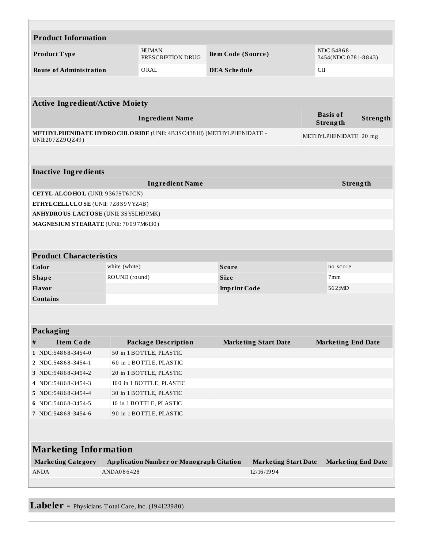| <b>Product Information</b>                                                     |               |                                                 |                     |                             |                 |                           |                                   |  |  |
|--------------------------------------------------------------------------------|---------------|-------------------------------------------------|---------------------|-----------------------------|-----------------|---------------------------|-----------------------------------|--|--|
| Product Type                                                                   |               | <b>HUMAN</b><br>PRESCRIPTION DRUG               | Item Code (Source)  |                             |                 |                           | NDC:54868-<br>3454(NDC:0781-8843) |  |  |
| <b>Route of Administration</b>                                                 |               | ORAL                                            | <b>DEA Schedule</b> |                             |                 | CП                        |                                   |  |  |
|                                                                                |               |                                                 |                     |                             |                 |                           |                                   |  |  |
| <b>Active Ingredient/Active Moiety</b>                                         |               |                                                 |                     |                             |                 |                           |                                   |  |  |
| <b>Ingredient Name</b>                                                         |               |                                                 |                     |                             |                 | <b>Basis of</b>           | Strength                          |  |  |
| METHYLPHENIDATE HYDRO CHLORIDE (UNII: 4B3SC438HI) (METHYLPHENIDATE -           |               |                                                 |                     |                             | <b>Strength</b> |                           |                                   |  |  |
| UNII:207ZZ9QZ49)                                                               |               |                                                 |                     |                             |                 | METHYLPHENIDATE 20 mg     |                                   |  |  |
|                                                                                |               |                                                 |                     |                             |                 |                           |                                   |  |  |
| <b>Inactive Ingredients</b>                                                    |               |                                                 |                     |                             |                 |                           |                                   |  |  |
| <b>Ingredient Name</b>                                                         |               |                                                 |                     |                             |                 | Strength                  |                                   |  |  |
| CETYL ALCOHOL (UNII: 936JST6JCN)                                               |               |                                                 |                     |                             |                 |                           |                                   |  |  |
| ETHYLCELLULOSE (UNII: 7Z8S9VYZ4B)                                              |               |                                                 |                     |                             |                 |                           |                                   |  |  |
| ANHYDROUS LACTOSE (UNII: 3SY5LH9 PMK)<br>MAGNESIUM STEARATE (UNII: 70097M6I30) |               |                                                 |                     |                             |                 |                           |                                   |  |  |
|                                                                                |               |                                                 |                     |                             |                 |                           |                                   |  |  |
|                                                                                |               |                                                 |                     |                             |                 |                           |                                   |  |  |
| <b>Product Characteristics</b>                                                 |               |                                                 |                     |                             |                 |                           |                                   |  |  |
| Color                                                                          | white (white) |                                                 | <b>Score</b>        |                             |                 | no score                  |                                   |  |  |
| <b>Shape</b>                                                                   | ROUND (round) |                                                 | <b>Size</b>         |                             |                 | 7 <sub>mm</sub>           |                                   |  |  |
| Flavor                                                                         |               |                                                 | <b>Imprint Code</b> |                             |                 | 562;MD                    |                                   |  |  |
| <b>Contains</b>                                                                |               |                                                 |                     |                             |                 |                           |                                   |  |  |
|                                                                                |               |                                                 |                     |                             |                 |                           |                                   |  |  |
| <b>Packaging</b>                                                               |               |                                                 |                     |                             |                 |                           |                                   |  |  |
| <b>Item Code</b><br>#                                                          |               | <b>Package Description</b>                      |                     | <b>Marketing Start Date</b> |                 | <b>Marketing End Date</b> |                                   |  |  |
| 1 NDC:54868-3454-0                                                             |               | 50 in 1 BOTTLE, PLASTIC                         |                     |                             |                 |                           |                                   |  |  |
| 2 NDC:54868-3454-1                                                             |               | 60 in 1 BOTTLE, PLASTIC                         |                     |                             |                 |                           |                                   |  |  |
| 3 NDC:54868-3454-2                                                             |               | 20 in 1 BOTTLE, PLASTIC                         |                     |                             |                 |                           |                                   |  |  |
| 4 NDC:54868-3454-3                                                             |               | 100 in 1 BOTTLE, PLASTIC                        |                     |                             |                 |                           |                                   |  |  |
| 5 NDC:54868-3454-4                                                             |               | 30 in 1 BOTTLE, PLASTIC                         |                     |                             |                 |                           |                                   |  |  |
| 6 NDC:54868-3454-5                                                             |               | 10 in 1 BOTTLE, PLASTIC                         |                     |                             |                 |                           |                                   |  |  |
| 7 NDC:54868-3454-6                                                             |               | 90 in 1 BOTTLE, PLASTIC                         |                     |                             |                 |                           |                                   |  |  |
|                                                                                |               |                                                 |                     |                             |                 |                           |                                   |  |  |
|                                                                                |               |                                                 |                     |                             |                 |                           |                                   |  |  |
| <b>Marketing Information</b>                                                   |               |                                                 |                     |                             |                 |                           |                                   |  |  |
| <b>Marketing Category</b>                                                      |               | <b>Application Number or Monograph Citation</b> |                     | <b>Marketing Start Date</b> |                 | <b>Marketing End Date</b> |                                   |  |  |
| <b>ANDA</b>                                                                    | ANDA086428    |                                                 |                     | 12/16/1994                  |                 |                           |                                   |  |  |
|                                                                                |               |                                                 |                     |                             |                 |                           |                                   |  |  |

**Labeler -** Physicians Total Care, Inc. (194123980)